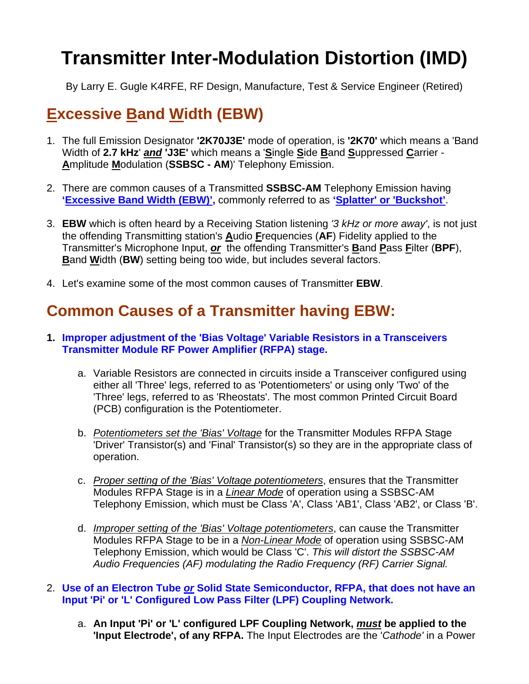# **Transmitter Inter-Modulation Distortion (IMD)**

By Larry E. Gugle K4RFE, RF Design, Manufacture, Test & Service Engineer (Retired)

# **Excessive Band Width (EBW)**

- 1. The full Emission Designator **'2K70J3E'** mode of operation, is **'2K70'** which means a 'Band Width of **2.7 kHz**' *and* **'J3E'** which means a '**S**ingle **S**ide **B**and **S**uppressed **C**arrier - **A**mplitude **M**odulation (**SSBSC - AM**)' Telephony Emission.
- 2. There are common causes of a Transmitted **SSBSC-AM** Telephony Emission having **'Excessive Band Width (EBW)',** commonly referred to as **'Splatter' or 'Buckshot'**.
- 3. **EBW** which is often heard by a Receiving Station listening *'3 kHz or more away'*, is not just the offending Transmitting station's **A**udio **F**requencies (**AF**) Fidelity applied to the Transmitter's Microphone Input, *or* the offending Transmitter's **B**and **P**ass **F**ilter (**BPF**), **B**and **W**idth (**BW**) setting being too wide, but includes several factors.
- 4. Let's examine some of the most common causes of Transmitter **EBW**.

# **Common Causes of a Transmitter having EBW:**

- **1. Improper adjustment of the 'Bias Voltage' Variable Resistors in a Transceivers Transmitter Module RF Power Amplifier (RFPA) stage.** 
	- a. Variable Resistors are connected in circuits inside a Transceiver configured using either all 'Three' legs, referred to as 'Potentiometers' or using only 'Two' of the 'Three' legs, referred to as 'Rheostats'. The most common Printed Circuit Board (PCB) configuration is the Potentiometer.
	- b. *Potentiometers set the 'Bias' Voltage* for the Transmitter Modules RFPA Stage 'Driver' Transistor(s) and 'Final' Transistor(s) so they are in the appropriate class of operation.
	- c. *Proper setting of the 'Bias' Voltage potentiometers*, ensures that the Transmitter Modules RFPA Stage is in a *Linear Mode* of operation using a SSBSC-AM Telephony Emission, which must be Class 'A', Class 'AB1', Class 'AB2', or Class 'B'.
	- d. *Improper setting of the 'Bias' Voltage potentiometers*, can cause the Transmitter Modules RFPA Stage to be in a *Non-Linear Mode* of operation using SSBSC-AM Telephony Emission, which would be Class 'C'. *This will distort the SSBSC-AM Audio Frequencies (AF) modulating the Radio Frequency (RF) Carrier Signal.*
- 2. **Use of an Electron Tube** *or* **Solid State Semiconductor, RFPA, that does not have an Input 'Pi' or 'L' Configured Low Pass Filter (LPF) Coupling Network.**
	- a. **An Input 'Pi' or 'L' configured LPF Coupling Network,** *must* **be applied to the 'Input Electrode', of any RFPA.** The Input Electrodes are the '*Cathode'* in a Power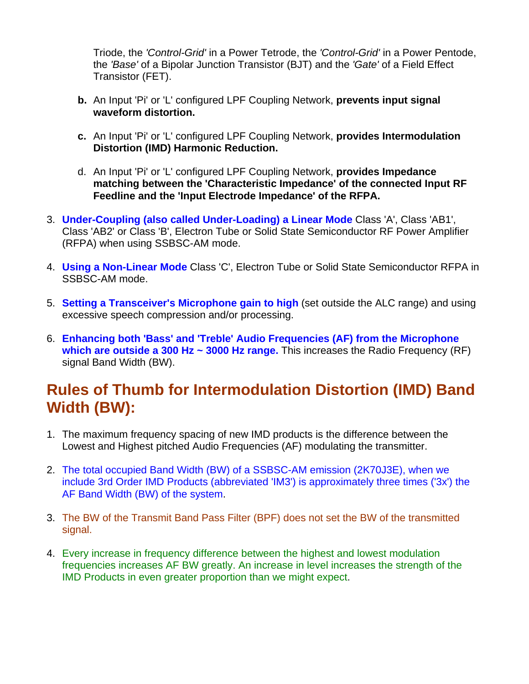Triode, the *'Control-Grid'* in a Power Tetrode, the *'Control-Grid'* in a Power Pentode, the *'Base'* of a Bipolar Junction Transistor (BJT) and the *'Gate'* of a Field Effect Transistor (FET).

- **b.** An Input 'Pi' or 'L' configured LPF Coupling Network, **prevents input signal waveform distortion.**
- **c.** An Input 'Pi' or 'L' configured LPF Coupling Network, **provides Intermodulation Distortion (IMD) Harmonic Reduction.**
- d. An Input 'Pi' or 'L' configured LPF Coupling Network, **provides Impedance matching between the 'Characteristic Impedance' of the connected Input RF Feedline and the 'Input Electrode Impedance' of the RFPA.**
- 3. **Under-Coupling (also called Under-Loading) a Linear Mode** Class 'A', Class 'AB1', Class 'AB2' or Class 'B', Electron Tube or Solid State Semiconductor RF Power Amplifier (RFPA) when using SSBSC-AM mode.
- 4. **Using a Non-Linear Mode** Class 'C', Electron Tube or Solid State Semiconductor RFPA in SSBSC-AM mode.
- 5. **Setting a Transceiver's Microphone gain to high** (set outside the ALC range) and using excessive speech compression and/or processing.
- 6. **Enhancing both 'Bass' and 'Treble' Audio Frequencies (AF) from the Microphone which are outside a 300 Hz ~ 3000 Hz range.** This increases the Radio Frequency (RF) signal Band Width (BW).

# **Rules of Thumb for Intermodulation Distortion (IMD) Band Width (BW):**

- 1. The maximum frequency spacing of new IMD products is the difference between the Lowest and Highest pitched Audio Frequencies (AF) modulating the transmitter.
- 2. The total occupied Band Width (BW) of a SSBSC-AM emission (2K70J3E), when we include 3rd Order IMD Products (abbreviated 'IM3') is approximately three times ('3x') the AF Band Width (BW) of the system.
- 3. The BW of the Transmit Band Pass Filter (BPF) does not set the BW of the transmitted signal.
- 4. Every increase in frequency difference between the highest and lowest modulation frequencies increases AF BW greatly. An increase in level increases the strength of the IMD Products in even greater proportion than we might expect.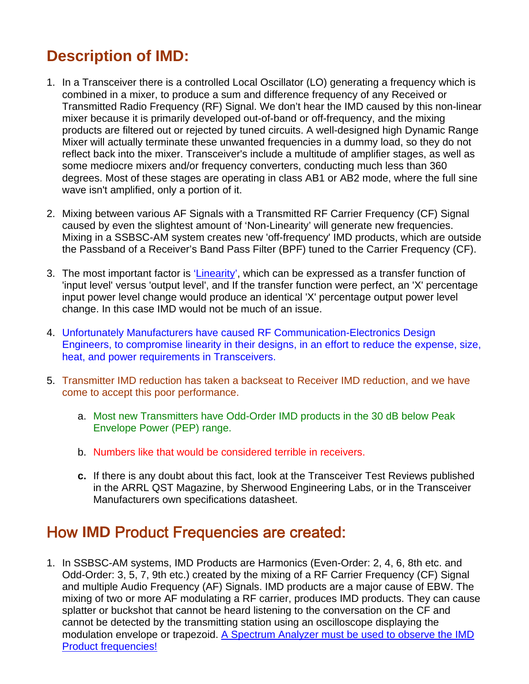# **Description of IMD:**

- 1. In a Transceiver there is a controlled Local Oscillator (LO) generating a frequency which is combined in a mixer, to produce a sum and difference frequency of any Received or Transmitted Radio Frequency (RF) Signal. We don't hear the IMD caused by this non-linear mixer because it is primarily developed out-of-band or off-frequency, and the mixing products are filtered out or rejected by tuned circuits. A well-designed high Dynamic Range Mixer will actually terminate these unwanted frequencies in a dummy load, so they do not reflect back into the mixer. Transceiver's include a multitude of amplifier stages, as well as some mediocre mixers and/or frequency converters, conducting much less than 360 degrees. Most of these stages are operating in class AB1 or AB2 mode, where the full sine wave isn't amplified, only a portion of it.
- 2. Mixing between various AF Signals with a Transmitted RF Carrier Frequency (CF) Signal caused by even the slightest amount of 'Non-Linearity' will generate new frequencies. Mixing in a SSBSC-AM system creates new 'off-frequency' IMD products, which are outside the Passband of a Receiver's Band Pass Filter (BPF) tuned to the Carrier Frequency (CF).
- 3. The most important factor is 'Linearity', which can be expressed as a transfer function of 'input level' versus 'output level', and If the transfer function were perfect, an 'X' percentage input power level change would produce an identical 'X' percentage output power level change. In this case IMD would not be much of an issue.
- 4. Unfortunately Manufacturers have caused RF Communication-Electronics Design Engineers, to compromise linearity in their designs, in an effort to reduce the expense, size, heat, and power requirements in Transceivers.
- 5. Transmitter IMD reduction has taken a backseat to Receiver IMD reduction, and we have come to accept this poor performance.
	- a. Most new Transmitters have Odd-Order IMD products in the 30 dB below Peak Envelope Power (PEP) range.
	- b. Numbers like that would be considered terrible in receivers.
	- **c.** If there is any doubt about this fact, look at the Transceiver Test Reviews published in the ARRL QST Magazine, by Sherwood Engineering Labs, or in the Transceiver Manufacturers own specifications datasheet.

### How **IMD** Product Frequencies are created:

1. In SSBSC-AM systems, IMD Products are Harmonics (Even-Order: 2, 4, 6, 8th etc. and Odd-Order: 3, 5, 7, 9th etc.) created by the mixing of a RF Carrier Frequency (CF) Signal and multiple Audio Frequency (AF) Signals. IMD products are a major cause of EBW. The mixing of two or more AF modulating a RF carrier, produces IMD products. They can cause splatter or buckshot that cannot be heard listening to the conversation on the CF and cannot be detected by the transmitting station using an oscilloscope displaying the modulation envelope or trapezoid. A Spectrum Analyzer must be used to observe the IMD Product frequencies!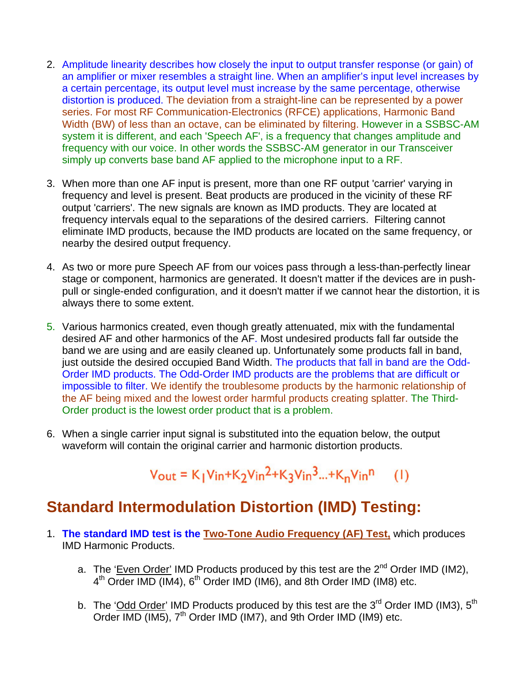- 2. Amplitude linearity describes how closely the input to output transfer response (or gain) of an amplifier or mixer resembles a straight line. When an amplifier's input level increases by a certain percentage, its output level must increase by the same percentage, otherwise distortion is produced. The deviation from a straight-line can be represented by a power series. For most RF Communication-Electronics (RFCE) applications, Harmonic Band Width (BW) of less than an octave, can be eliminated by filtering. However in a SSBSC-AM system it is different, and each 'Speech AF', is a frequency that changes amplitude and frequency with our voice. In other words the SSBSC-AM generator in our Transceiver simply up converts base band AF applied to the microphone input to a RF.
- 3. When more than one AF input is present, more than one RF output 'carrier' varying in frequency and level is present. Beat products are produced in the vicinity of these RF output 'carriers'. The new signals are known as IMD products. They are located at frequency intervals equal to the separations of the desired carriers. Filtering cannot eliminate IMD products, because the IMD products are located on the same frequency, or nearby the desired output frequency.
- 4. As two or more pure Speech AF from our voices pass through a less-than-perfectly linear stage or component, harmonics are generated. It doesn't matter if the devices are in pushpull or single-ended configuration, and it doesn't matter if we cannot hear the distortion, it is always there to some extent.
- 5. Various harmonics created, even though greatly attenuated, mix with the fundamental desired AF and other harmonics of the AF. Most undesired products fall far outside the band we are using and are easily cleaned up. Unfortunately some products fall in band, just outside the desired occupied Band Width. The products that fall in band are the Odd-Order IMD products. The Odd-Order IMD products are the problems that are difficult or impossible to filter. We identify the troublesome products by the harmonic relationship of the AF being mixed and the lowest order harmful products creating splatter. The Third-Order product is the lowest order product that is a problem.
- 6. When a single carrier input signal is substituted into the equation below, the output waveform will contain the original carrier and harmonic distortion products.

#### $V_{\text{out}} = K_1 V_{\text{in}} + K_2 V_{\text{in}}^2 + K_3 V_{\text{in}}^3 + K_{\text{n}} V_{\text{in}}^{\text{n}}$  $(1)$

### **Standard Intermodulation Distortion (IMD) Testing:**

- 1. **The standard IMD test is the Two-Tone Audio Frequency (AF) Test,** which produces IMD Harmonic Products.
	- a. The 'Even Order' IMD Products produced by this test are the  $2^{nd}$  Order IMD (IM2),  $4<sup>th</sup>$  Order IMD (IM4),  $6<sup>th</sup>$  Order IMD (IM6), and 8th Order IMD (IM8) etc.
	- b. The 'Odd Order' IMD Products produced by this test are the  $3^{rd}$  Order IMD (IM3),  $5^{th}$ Order IMD (IM5),  $7<sup>th</sup>$  Order IMD (IM7), and 9th Order IMD (IM9) etc.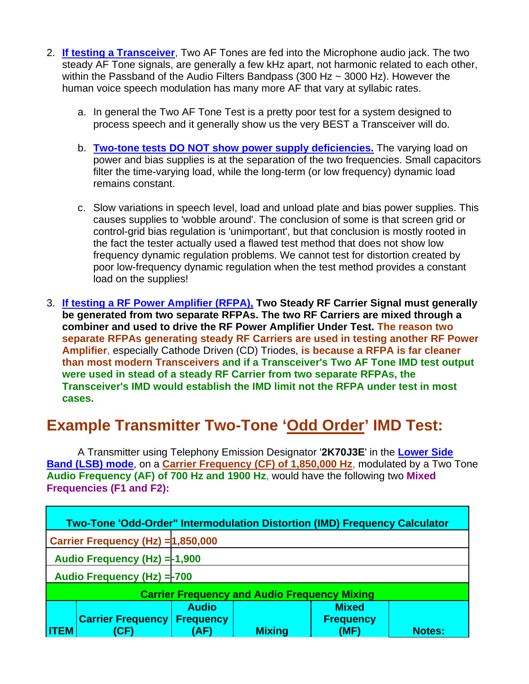- 2. **If testing a Transceiver**, Two AF Tones are fed into the Microphone audio jack. The two steady AF Tone signals, are generally a few kHz apart, not harmonic related to each other, within the Passband of the Audio Filters Bandpass (300 Hz  $\sim$  3000 Hz). However the human voice speech modulation has many more AF that vary at syllabic rates.
	- a. In general the Two AF Tone Test is a pretty poor test for a system designed to process speech and it generally show us the very BEST a Transceiver will do.
	- b. **Two-tone tests DO NOT show power supply deficiencies.** The varying load on power and bias supplies is at the separation of the two frequencies. Small capacitors filter the time-varying load, while the long-term (or low frequency) dynamic load remains constant.
	- c. Slow variations in speech level, load and unload plate and bias power supplies. This causes supplies to 'wobble around'. The conclusion of some is that screen grid or control-grid bias regulation is 'unimportant', but that conclusion is mostly rooted in the fact the tester actually used a flawed test method that does not show low frequency dynamic regulation problems. We cannot test for distortion created by poor low-frequency dynamic regulation when the test method provides a constant load on the supplies!
- 3. **If testing a RF Power Amplifier (RFPA), Two Steady RF Carrier Signal must generally be generated from two separate RFPAs. The two RF Carriers are mixed through a combiner and used to drive the RF Power Amplifier Under Test. The reason two separate RFPAs generating steady RF Carriers are used in testing another RF Power Amplifier**, especially Cathode Driven (CD) Triodes, **is because a RFPA is far cleaner than most modern Transceivers and if a Transceiver's Two AF Tone IMD test output were used in stead of a steady RF Carrier from two separate RFPAs, the Transceiver's IMD would establish the IMD limit not the RFPA under test in most cases.**

## **Example Transmitter Two-Tone 'Odd Order' IMD Test:**

A Transmitter using Telephony Emission Designator '**2K70J3E**' in the **Lower Side Band (LSB) mode**, on a **Carrier Frequency (CF) of 1,850,000 Hz**, modulated by a Two Tone **Audio Frequency (AF) of 700 Hz and 1900 Hz**, would have the following two **Mixed Frequencies (F1 and F2):** 

|             | Two-Tone 'Odd-Order" Intermodulation Distortion (IMD) Frequency Calculator |                                          |               |                                          |               |  |
|-------------|----------------------------------------------------------------------------|------------------------------------------|---------------|------------------------------------------|---------------|--|
|             | Carrier Frequency (Hz) = 1,850,000                                         |                                          |               |                                          |               |  |
|             | Audio Frequency (Hz) = -1,900                                              |                                          |               |                                          |               |  |
|             | Audio Frequency (Hz) = - 700                                               |                                          |               |                                          |               |  |
|             | <b>Carrier Frequency and Audio Frequency Mixing</b>                        |                                          |               |                                          |               |  |
| <b>ITEM</b> | <b>Carrier Frequency</b><br>ŒΙ                                             | <b>Audio</b><br><b>Frequency</b><br>(AF) | <b>Mixing</b> | <b>Mixed</b><br><b>Frequency</b><br>(MF) | <b>Notes:</b> |  |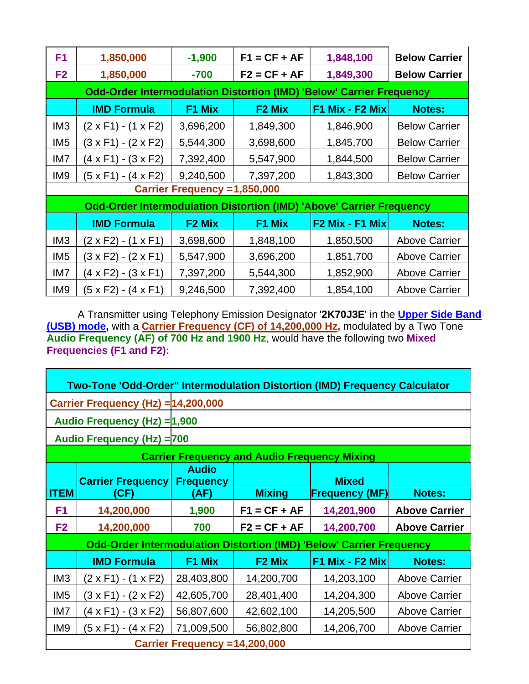| F <sub>1</sub>  | 1,850,000                                                                   | $-1,900$                      | $F1 = CF + AF$     | 1,848,100         | <b>Below Carrier</b> |
|-----------------|-----------------------------------------------------------------------------|-------------------------------|--------------------|-------------------|----------------------|
| F <sub>2</sub>  | 1,850,000                                                                   | $-700$                        | $F2 = CF + AF$     | 1,849,300         | <b>Below Carrier</b> |
|                 | <b>Odd-Order Intermodulation Distortion (IMD) 'Below' Carrier Frequency</b> |                               |                    |                   |                      |
|                 | <b>IMD Formula</b>                                                          | F1 Mix                        | F <sub>2</sub> Mix | F1 Mix - F2 Mix   | <b>Notes:</b>        |
| IM <sub>3</sub> | (2 x F1) - (1 x F2)                                                         | 3,696,200                     | 1,849,300          | 1,846,900         | <b>Below Carrier</b> |
| IM <sub>5</sub> | (3 x F1) - (2 x F2)                                                         | 5,544,300                     | 3,698,600          | 1,845,700         | <b>Below Carrier</b> |
| IM7             | (4 x F1) - (3 x F2)                                                         | 7,392,400                     | 5,547,900          | 1,844,500         | <b>Below Carrier</b> |
| IM <sub>9</sub> | (5 x F1) - (4 x F2)                                                         | 9,240,500                     | 7,397,200          | 1,843,300         | <b>Below Carrier</b> |
|                 |                                                                             | Carrier Frequency = 1,850,000 |                    |                   |                      |
|                 | <b>Odd-Order Intermodulation Distortion (IMD) 'Above' Carrier Frequency</b> |                               |                    |                   |                      |
|                 | <b>IMD Formula</b>                                                          | F <sub>2</sub> Mix            | F1 Mix             | $F2$ Mix - F1 Mix | <b>Notes:</b>        |
| IM <sub>3</sub> | (2 x F2) - (1 x F1)                                                         | 3,698,600                     | 1,848,100          | 1,850,500         | <b>Above Carrier</b> |
| IM <sub>5</sub> | (3 x F2) - (2 x F1)                                                         | 5,547,900                     | 3,696,200          | 1,851,700         | <b>Above Carrier</b> |
| IM7             | (4 x F2) - (3 x F1)                                                         | 7,397,200                     | 5,544,300          | 1,852,900         | <b>Above Carrier</b> |
| IM <sub>9</sub> | (5 x F2) - (4 x F1)                                                         | 9,246,500                     | 7,392,400          | 1,854,100         | <b>Above Carrier</b> |

A Transmitter using Telephony Emission Designator '**2K70J3E**' in the **Upper Side Band (USB) mode,** with a **Carrier Frequency (CF) of 14,200,000 Hz,** modulated by a Two Tone **Audio Frequency (AF) of 700 Hz and 1900 Hz**, would have the following two **Mixed Frequencies (F1 and F2):** 

|                 | <b>Two-Tone 'Odd-Order" Intermodulation Distortion (IMD) Frequency Calculator</b> |                                          |                                                     |                                       |                      |  |  |
|-----------------|-----------------------------------------------------------------------------------|------------------------------------------|-----------------------------------------------------|---------------------------------------|----------------------|--|--|
|                 | Carrier Frequency (Hz) = 14,200,000                                               |                                          |                                                     |                                       |                      |  |  |
|                 | Audio Frequency (Hz) = 1,900                                                      |                                          |                                                     |                                       |                      |  |  |
|                 | <b>Audio Frequency (Hz) = 700</b>                                                 |                                          |                                                     |                                       |                      |  |  |
|                 |                                                                                   |                                          | <b>Carrier Frequency and Audio Frequency Mixing</b> |                                       |                      |  |  |
| <b>ITEM</b>     | <b>Carrier Frequency</b><br>(CF)                                                  | <b>Audio</b><br><b>Frequency</b><br>(AF) | <b>Mixing</b>                                       | <b>Mixed</b><br><b>Frequency (MF)</b> | <b>Notes:</b>        |  |  |
| F <sub>1</sub>  | 14,200,000                                                                        | 1,900                                    | $F1 = CF + AF$                                      | 14,201,900                            | <b>Above Carrier</b> |  |  |
| F <sub>2</sub>  | 14,200,000                                                                        | 700                                      | $F2 = CF + AF$                                      | 14,200,700                            | <b>Above Carrier</b> |  |  |
|                 | <b>Odd-Order Intermodulation Distortion (IMD) 'Below' Carrier Frequency</b>       |                                          |                                                     |                                       |                      |  |  |
|                 | <b>IMD Formula</b>                                                                | F1 Mix                                   | F <sub>2</sub> Mix                                  | F1 Mix - F2 Mix                       | <b>Notes:</b>        |  |  |
| IM <sub>3</sub> | $(2 \times F1) - (1 \times F2)$                                                   | 28,403,800                               | 14,200,700                                          | 14,203,100                            | <b>Above Carrier</b> |  |  |
| IM <sub>5</sub> | (3 x F1) - (2 x F2)                                                               | 42,605,700                               | 28,401,400                                          | 14,204,300                            | <b>Above Carrier</b> |  |  |
| IM7             | (4 x F1) - (3 x F2)                                                               | 56,807,600                               | 42,602,100                                          | 14,205,500                            | <b>Above Carrier</b> |  |  |
| IM <sub>9</sub> | (5 x F1) - (4 x F2)                                                               | 71,009,500                               | 56,802,800                                          | 14,206,700                            | <b>Above Carrier</b> |  |  |
|                 | Carrier Frequency = 14,200,000                                                    |                                          |                                                     |                                       |                      |  |  |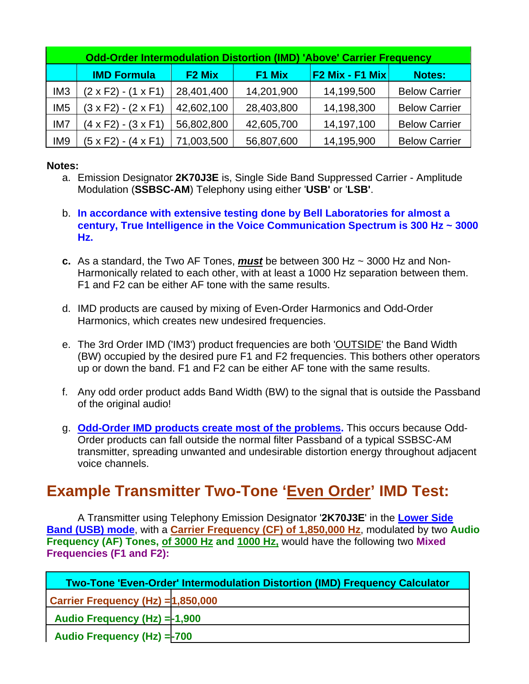|                 | <b>Odd-Order Intermodulation Distortion (IMD) 'Above' Carrier Frequency</b> |                    |            |                   |                      |  |  |
|-----------------|-----------------------------------------------------------------------------|--------------------|------------|-------------------|----------------------|--|--|
|                 | <b>IMD Formula</b>                                                          | F <sub>2</sub> Mix | F1 Mix     | $F2$ Mix - F1 Mix | <b>Notes:</b>        |  |  |
| IM <sub>3</sub> | $(2 \times F2) - (1 \times F1)$                                             | 28,401,400         | 14,201,900 | 14,199,500        | <b>Below Carrier</b> |  |  |
| IM <sub>5</sub> | $(3 \times F2) - (2 \times F1)$                                             | 42,602,100         | 28,403,800 | 14,198,300        | <b>Below Carrier</b> |  |  |
| IM7             | $(4 \times F2) - (3 \times F1)$                                             | 56,802,800         | 42,605,700 | 14,197,100        | <b>Below Carrier</b> |  |  |
| IM <sub>9</sub> | (5 x F2) - (4 x F1)                                                         | 71,003,500         | 56,807,600 | 14,195,900        | <b>Below Carrier</b> |  |  |

#### **Notes:**

- a. Emission Designator **2K70J3E** is, Single Side Band Suppressed Carrier Amplitude Modulation (**SSBSC-AM**) Telephony using either '**USB'** or '**LSB'**.
- b. **In accordance with extensive testing done by Bell Laboratories for almost a century, True Intelligence in the Voice Communication Spectrum is 300 Hz ~ 3000 Hz.**
- **c.** As a standard, the Two AF Tones, *must* be between 300 Hz ~ 3000 Hz and Non-Harmonically related to each other, with at least a 1000 Hz separation between them. F1 and F2 can be either AF tone with the same results.
- d. IMD products are caused by mixing of Even-Order Harmonics and Odd-Order Harmonics, which creates new undesired frequencies.
- e. The 3rd Order IMD ('IM3') product frequencies are both 'OUTSIDE' the Band Width (BW) occupied by the desired pure F1 and F2 frequencies. This bothers other operators up or down the band. F1 and F2 can be either AF tone with the same results.
- f. Any odd order product adds Band Width (BW) to the signal that is outside the Passband of the original audio!
- g. **Odd-Order IMD products create most of the problems.** This occurs because Odd-Order products can fall outside the normal filter Passband of a typical SSBSC-AM transmitter, spreading unwanted and undesirable distortion energy throughout adjacent voice channels.

### **Example Transmitter Two-Tone 'Even Order' IMD Test:**

A Transmitter using Telephony Emission Designator '**2K70J3E**' in the **Lower Side Band (USB) mode**, with a **Carrier Frequency (CF) of 1,850,000 Hz**, modulated by two **Audio Frequency (AF) Tones, of 3000 Hz and 1000 Hz,** would have the following two **Mixed Frequencies (F1 and F2):** 

|                                    | <b>Two-Tone 'Even-Order' Intermodulation Distortion (IMD) Frequency Calculator</b> |
|------------------------------------|------------------------------------------------------------------------------------|
| Carrier Frequency (Hz) = 1,850,000 |                                                                                    |
| Audio Frequency (Hz) = - 1,900     |                                                                                    |
| Audio Frequency (Hz) = 700         |                                                                                    |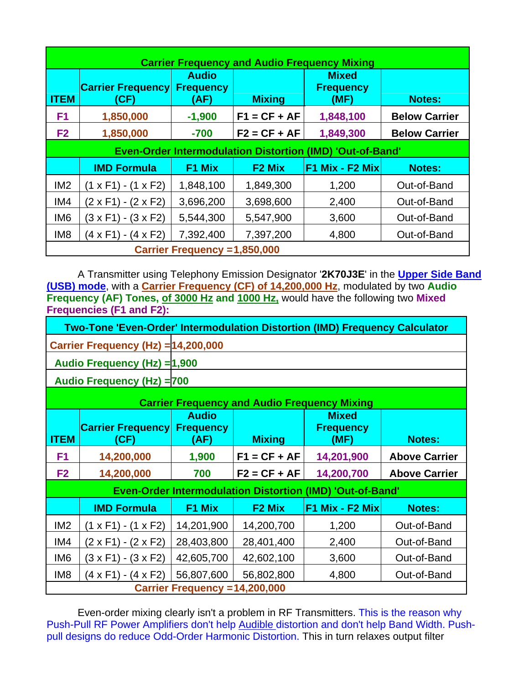| <b>Carrier Frequency and Audio Frequency Mixing</b> |                                     |                                          |                    |                                                                  |                      |  |  |
|-----------------------------------------------------|-------------------------------------|------------------------------------------|--------------------|------------------------------------------------------------------|----------------------|--|--|
| <b>ITEM</b>                                         | <b>Carrier Frequency</b><br>(CF)    | <b>Audio</b><br><b>Frequency</b><br>(AF) | <b>Mixing</b>      | <b>Mixed</b><br><b>Frequency</b><br>(MF)                         | <b>Notes:</b>        |  |  |
| F <sub>1</sub>                                      | 1,850,000                           | $-1,900$                                 | $F1 = CF + AF$     | 1,848,100                                                        | <b>Below Carrier</b> |  |  |
| F <sub>2</sub>                                      | 1,850,000                           | $-700$                                   | $F2 = CF + AF$     | 1,849,300                                                        | <b>Below Carrier</b> |  |  |
|                                                     |                                     |                                          |                    | <b>Even-Order Intermodulation Distortion (IMD) 'Out-of-Band'</b> |                      |  |  |
|                                                     | <b>IMD Formula</b>                  | F1 Mix                                   | F <sub>2</sub> Mix | $F1$ Mix - F2 Mix                                                | <b>Notes:</b>        |  |  |
| IM <sub>2</sub>                                     | (1 x F1) - (1 x F2)                 | 1,848,100                                | 1,849,300          | 1,200                                                            | Out-of-Band          |  |  |
| IM4                                                 | (2 x F1) - (2 x F2)                 | 3,696,200                                | 3,698,600          | 2,400                                                            | Out-of-Band          |  |  |
| IM <sub>6</sub>                                     | $(3 \times F1) - (3 \times F2)$     | 5,544,300                                | 5,547,900          | 3,600                                                            | Out-of-Band          |  |  |
| IM <sub>8</sub>                                     | (4 x F1) - (4 x F2)                 | 7,392,400                                | 7,397,200          | 4,800                                                            | Out-of-Band          |  |  |
|                                                     | <b>Carrier Frequency =1,850,000</b> |                                          |                    |                                                                  |                      |  |  |

A Transmitter using Telephony Emission Designator '**2K70J3E**' in the **Upper Side Band (USB) mode**, with a **Carrier Frequency (CF) of 14,200,000 Hz**, modulated by two **Audio Frequency (AF) Tones, of 3000 Hz and 1000 Hz,** would have the following two **Mixed Frequencies (F1 and F2):** 

|                                     | Two-Tone 'Even-Order' Intermodulation Distortion (IMD) Frequency Calculator |
|-------------------------------------|-----------------------------------------------------------------------------|
| Carrier Frequency (Hz) = 14,200,000 |                                                                             |

**Audio Frequency (Hz) =1,900** 

**Audio Frequency (Hz) =700** 

| <b>Carrier Frequency and Audio Frequency Mixing</b> |                                  |                                          |                    |                                                                  |                      |  |
|-----------------------------------------------------|----------------------------------|------------------------------------------|--------------------|------------------------------------------------------------------|----------------------|--|
| <b>ITEM</b>                                         | <b>Carrier Frequency</b><br>(CF) | <b>Audio</b><br><b>Frequency</b><br>(AF) | <b>Mixing</b>      | <b>Mixed</b><br><b>Frequency</b><br>(MF)                         | <b>Notes:</b>        |  |
| F <sub>1</sub>                                      | 14,200,000                       | 1,900                                    | $F1 = CF + AF$     | 14,201,900                                                       | <b>Above Carrier</b> |  |
| F <sub>2</sub>                                      | 14,200,000                       | 700                                      | $F2 = CF + AF$     | 14,200,700                                                       | <b>Above Carrier</b> |  |
|                                                     |                                  |                                          |                    | <b>Even-Order Intermodulation Distortion (IMD) 'Out-of-Band'</b> |                      |  |
|                                                     |                                  |                                          |                    |                                                                  |                      |  |
|                                                     | <b>IMD Formula</b>               | F1 Mix                                   | F <sub>2</sub> Mix | F1 Mix - F2 Mix                                                  | <b>Notes:</b>        |  |
| IM <sub>2</sub>                                     | $(1 \times F1) - (1 \times F2)$  | 14,201,900                               | 14,200,700         | 1,200                                                            | Out-of-Band          |  |
| IM4                                                 | (2 x F1) - (2 x F2)              | 28,403,800                               | 28,401,400         | 2,400                                                            | Out-of-Band          |  |
| IM <sub>6</sub>                                     | (3 x F1) - (3 x F2)              | 42,605,700                               | 42,602,100         | 3,600                                                            | Out-of-Band          |  |
| IM <sub>8</sub>                                     | (4 x F1) - (4 x F2)              | 56,807,600                               | 56,802,800         | 4,800                                                            | Out-of-Band          |  |

Even-order mixing clearly isn't a problem in RF Transmitters. This is the reason why Push-Pull RF Power Amplifiers don't help Audible distortion and don't help Band Width. Pushpull designs do reduce Odd-Order Harmonic Distortion. This in turn relaxes output filter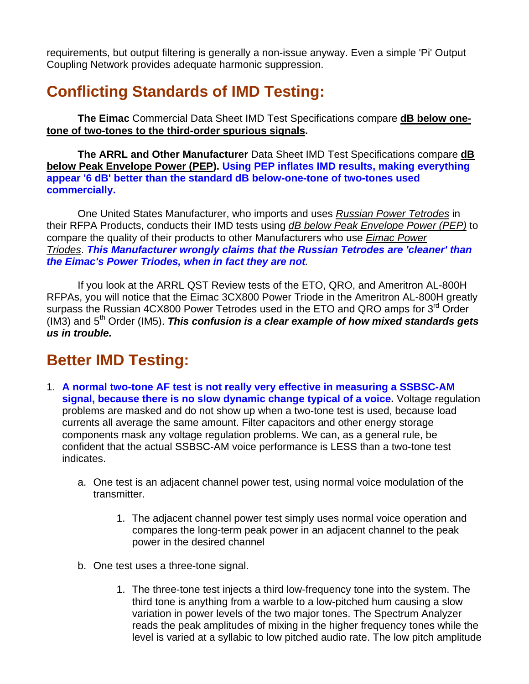requirements, but output filtering is generally a non-issue anyway. Even a simple 'Pi' Output Coupling Network provides adequate harmonic suppression.

# **Conflicting Standards of IMD Testing:**

**The Eimac** Commercial Data Sheet IMD Test Specifications compare **dB below onetone of two-tones to the third-order spurious signals.** 

**The ARRL and Other Manufacturer** Data Sheet IMD Test Specifications compare **dB below Peak Envelope Power (PEP). Using PEP inflates IMD results, making everything appear '6 dB' better than the standard dB below-one-tone of two-tones used commercially.** 

One United States Manufacturer, who imports and uses *Russian Power Tetrodes* in their RFPA Products, conducts their IMD tests using *dB below Peak Envelope Power (PEP)* to compare the quality of their products to other Manufacturers who use *Eimac Power Triodes*. *This Manufacturer wrongly claims that the Russian Tetrodes are 'cleaner' than the Eimac's Power Triodes, when in fact they are not.*

If you look at the ARRL QST Review tests of the ETO, QRO, and Ameritron AL-800H RFPAs, you will notice that the Eimac 3CX800 Power Triode in the Ameritron AL-800H greatly surpass the Russian 4CX800 Power Tetrodes used in the ETO and QRO amps for 3<sup>rd</sup> Order (IM3) and 5<sup>th</sup> Order (IM5). **This confusion is a clear example of how mixed standards gets** *us in trouble.* 

### **Better IMD Testing:**

- 1. **A normal two-tone AF test is not really very effective in measuring a SSBSC-AM signal, because there is no slow dynamic change typical of a voice.** Voltage regulation problems are masked and do not show up when a two-tone test is used, because load currents all average the same amount. Filter capacitors and other energy storage components mask any voltage regulation problems. We can, as a general rule, be confident that the actual SSBSC-AM voice performance is LESS than a two-tone test indicates.
	- a. One test is an adjacent channel power test, using normal voice modulation of the transmitter.
		- 1. The adjacent channel power test simply uses normal voice operation and compares the long-term peak power in an adjacent channel to the peak power in the desired channel
	- b. One test uses a three-tone signal.
		- 1. The three-tone test injects a third low-frequency tone into the system. The third tone is anything from a warble to a low-pitched hum causing a slow variation in power levels of the two major tones. The Spectrum Analyzer reads the peak amplitudes of mixing in the higher frequency tones while the level is varied at a syllabic to low pitched audio rate. The low pitch amplitude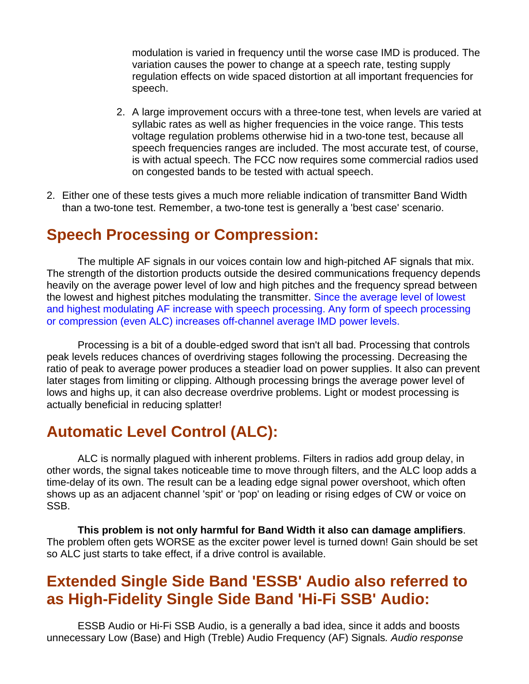modulation is varied in frequency until the worse case IMD is produced. The variation causes the power to change at a speech rate, testing supply regulation effects on wide spaced distortion at all important frequencies for speech.

- 2. A large improvement occurs with a three-tone test, when levels are varied at syllabic rates as well as higher frequencies in the voice range. This tests voltage regulation problems otherwise hid in a two-tone test, because all speech frequencies ranges are included. The most accurate test, of course, is with actual speech. The FCC now requires some commercial radios used on congested bands to be tested with actual speech.
- 2. Either one of these tests gives a much more reliable indication of transmitter Band Width than a two-tone test. Remember, a two-tone test is generally a 'best case' scenario.

### **Speech Processing or Compression:**

The multiple AF signals in our voices contain low and high-pitched AF signals that mix. The strength of the distortion products outside the desired communications frequency depends heavily on the average power level of low and high pitches and the frequency spread between the lowest and highest pitches modulating the transmitter. Since the average level of lowest and highest modulating AF increase with speech processing. Any form of speech processing or compression (even ALC) increases off-channel average IMD power levels.

Processing is a bit of a double-edged sword that isn't all bad. Processing that controls peak levels reduces chances of overdriving stages following the processing. Decreasing the ratio of peak to average power produces a steadier load on power supplies. It also can prevent later stages from limiting or clipping. Although processing brings the average power level of lows and highs up, it can also decrease overdrive problems. Light or modest processing is actually beneficial in reducing splatter!

### **Automatic Level Control (ALC):**

ALC is normally plagued with inherent problems. Filters in radios add group delay, in other words, the signal takes noticeable time to move through filters, and the ALC loop adds a time-delay of its own. The result can be a leading edge signal power overshoot, which often shows up as an adjacent channel 'spit' or 'pop' on leading or rising edges of CW or voice on SSB.

**This problem is not only harmful for Band Width it also can damage amplifiers**. The problem often gets WORSE as the exciter power level is turned down! Gain should be set so ALC just starts to take effect, if a drive control is available.

## **Extended Single Side Band 'ESSB' Audio also referred to as High-Fidelity Single Side Band 'Hi-Fi SSB' Audio:**

ESSB Audio or Hi-Fi SSB Audio, is a generally a bad idea, since it adds and boosts unnecessary Low (Base) and High (Treble) Audio Frequency (AF) Signals*. Audio response*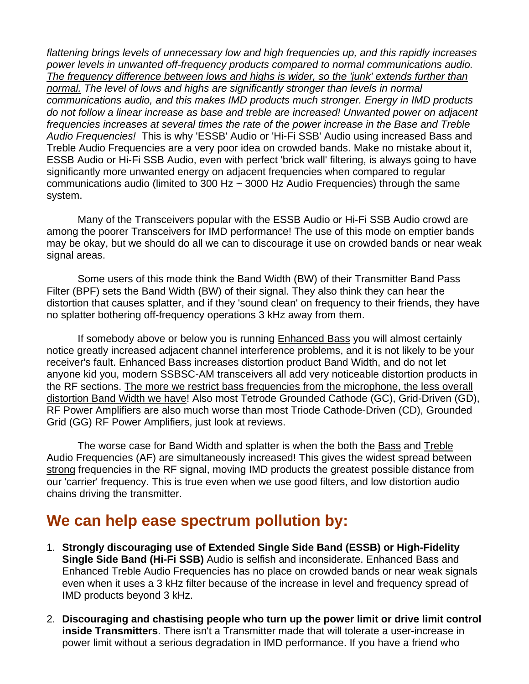*flattening brings levels of unnecessary low and high frequencies up, and this rapidly increases power levels in unwanted off-frequency products compared to normal communications audio. The frequency difference between lows and highs is wider, so the 'junk' extends further than normal. The level of lows and highs are significantly stronger than levels in normal communications audio, and this makes IMD products much stronger. Energy in IMD products do not follow a linear increase as base and treble are increased! Unwanted power on adjacent frequencies increases at several times the rate of the power increase in the Base and Treble Audio Frequencies!* This is why 'ESSB' Audio or 'Hi-Fi SSB' Audio using increased Bass and Treble Audio Frequencies are a very poor idea on crowded bands. Make no mistake about it, ESSB Audio or Hi-Fi SSB Audio, even with perfect 'brick wall' filtering, is always going to have significantly more unwanted energy on adjacent frequencies when compared to regular communications audio (limited to 300 Hz  $\sim$  3000 Hz Audio Frequencies) through the same system.

Many of the Transceivers popular with the ESSB Audio or Hi-Fi SSB Audio crowd are among the poorer Transceivers for IMD performance! The use of this mode on emptier bands may be okay, but we should do all we can to discourage it use on crowded bands or near weak signal areas.

Some users of this mode think the Band Width (BW) of their Transmitter Band Pass Filter (BPF) sets the Band Width (BW) of their signal. They also think they can hear the distortion that causes splatter, and if they 'sound clean' on frequency to their friends, they have no splatter bothering off-frequency operations 3 kHz away from them.

If somebody above or below you is running Enhanced Bass you will almost certainly notice greatly increased adjacent channel interference problems, and it is not likely to be your receiver's fault. Enhanced Bass increases distortion product Band Width, and do not let anyone kid you, modern SSBSC-AM transceivers all add very noticeable distortion products in the RF sections. The more we restrict bass frequencies from the microphone, the less overall distortion Band Width we have! Also most Tetrode Grounded Cathode (GC), Grid-Driven (GD), RF Power Amplifiers are also much worse than most Triode Cathode-Driven (CD), Grounded Grid (GG) RF Power Amplifiers, just look at reviews.

 The worse case for Band Width and splatter is when the both the Bass and Treble Audio Frequencies (AF) are simultaneously increased! This gives the widest spread between strong frequencies in the RF signal, moving IMD products the greatest possible distance from our 'carrier' frequency. This is true even when we use good filters, and low distortion audio chains driving the transmitter.

### **We can help ease spectrum pollution by:**

- 1. **Strongly discouraging use of Extended Single Side Band (ESSB) or High-Fidelity Single Side Band (Hi-Fi SSB)** Audio is selfish and inconsiderate. Enhanced Bass and Enhanced Treble Audio Frequencies has no place on crowded bands or near weak signals even when it uses a 3 kHz filter because of the increase in level and frequency spread of IMD products beyond 3 kHz.
- 2. **Discouraging and chastising people who turn up the power limit or drive limit control inside Transmitters**. There isn't a Transmitter made that will tolerate a user-increase in power limit without a serious degradation in IMD performance. If you have a friend who